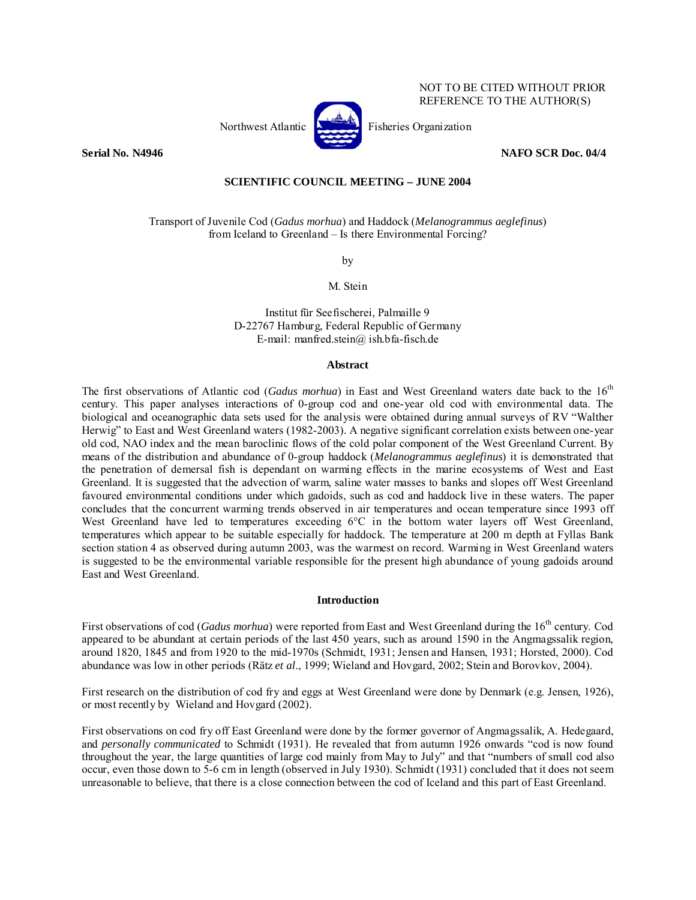

NOT TO BE CITED WITHOUT PRIOR REFERENCE TO THE AUTHOR(S)

## **Serial No. N4946 NAFO SCR Doc. 04/4 NAFO SCR Doc. 04/4**

# **SCIENTIFIC COUNCIL MEETING – JUNE 2004**

Transport of Juvenile Cod (*Gadus morhua*) and Haddock (*Melanogrammus aeglefinus*) from Iceland to Greenland – Is there Environmental Forcing?

by

M. Stein

Institut für Seefischerei, Palmaille 9 D-22767 Hamburg, Federal Republic of Germany E-mail: manfred.stein@ ish.bfa-fisch.de

#### **Abstract**

The first observations of Atlantic cod (*Gadus morhua*) in East and West Greenland waters date back to the 16th century. This paper analyses interactions of 0-group cod and one-year old cod with environmental data. The biological and oceanographic data sets used for the analysis were obtained during annual surveys of RV "Walther Herwig" to East and West Greenland waters (1982-2003). A negative significant correlation exists between one-year old cod, NAO index and the mean baroclinic flows of the cold polar component of the West Greenland Current. By means of the distribution and abundance of 0-group haddock (*Melanogrammus aeglefinus*) it is demonstrated that the penetration of demersal fish is dependant on warming effects in the marine ecosystems of West and East Greenland. It is suggested that the advection of warm, saline water masses to banks and slopes off West Greenland favoured environmental conditions under which gadoids, such as cod and haddock live in these waters. The paper concludes that the concurrent warming trends observed in air temperatures and ocean temperature since 1993 off West Greenland have led to temperatures exceeding 6°C in the bottom water layers off West Greenland, temperatures which appear to be suitable especially for haddock. The temperature at 200 m depth at Fyllas Bank section station 4 as observed during autumn 2003, was the warmest on record. Warming in West Greenland waters is suggested to be the environmental variable responsible for the present high abundance of young gadoids around East and West Greenland.

## **Introduction**

First observations of cod (*Gadus morhua*) were reported from East and West Greenland during the 16<sup>th</sup> century. Cod appeared to be abundant at certain periods of the last 450 years, such as around 1590 in the Angmagssalik region, around 1820, 1845 and from 1920 to the mid-1970s (Schmidt, 1931; Jensen and Hansen, 1931; Horsted, 2000). Cod abundance was low in other periods (Rätz *et al*., 1999; Wieland and Hovgard, 2002; Stein and Borovkov, 2004).

First research on the distribution of cod fry and eggs at West Greenland were done by Denmark (e.g. Jensen, 1926), or most recently by Wieland and Hovgard (2002).

First observations on cod fry off East Greenland were done by the former governor of Angmagssalik, A. Hedegaard, and *personally communicated* to Schmidt (1931). He revealed that from autumn 1926 onwards "cod is now found throughout the year, the large quantities of large cod mainly from May to July" and that "numbers of small cod also occur, even those down to 5-6 cm in length (observed in July 1930). Schmidt (1931) concluded that it does not seem unreasonable to believe, that there is a close connection between the cod of Iceland and this part of East Greenland.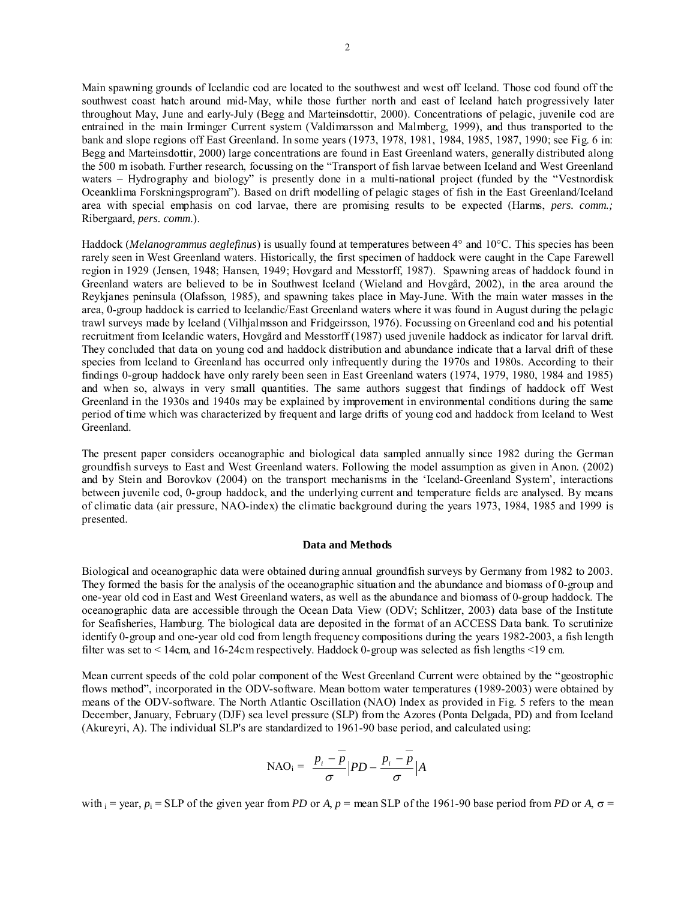Main spawning grounds of Icelandic cod are located to the southwest and west off Iceland. Those cod found off the southwest coast hatch around mid-May, while those further north and east of Iceland hatch progressively later throughout May, June and early-July (Begg and Marteinsdottir, 2000). Concentrations of pelagic, juvenile cod are entrained in the main Irminger Current system (Valdimarsson and Malmberg, 1999), and thus transported to the bank and slope regions off East Greenland. In some years (1973, 1978, 1981, 1984, 1985, 1987, 1990; see Fig. 6 in: Begg and Marteinsdottir, 2000) large concentrations are found in East Greenland waters, generally distributed along the 500 m isobath. Further research, focussing on the "Transport of fish larvae between Iceland and West Greenland waters – Hydrography and biology" is presently done in a multi-national project (funded by the "Vestnordisk Oceanklima Forskningsprogram"). Based on drift modelling of pelagic stages of fish in the East Greenland/Iceland area with special emphasis on cod larvae, there are promising results to be expected (Harms, *pers. comm.;* Ribergaard, *pers. comm*.).

Haddock (*Melanogrammus aeglefinus*) is usually found at temperatures between 4° and 10°C. This species has been rarely seen in West Greenland waters. Historically, the first specimen of haddock were caught in the Cape Farewell region in 1929 (Jensen, 1948; Hansen, 1949; Hovgard and Messtorff, 1987). Spawning areas of haddock found in Greenland waters are believed to be in Southwest Iceland (Wieland and Hovgård, 2002), in the area around the Reykjanes peninsula (Olafsson, 1985), and spawning takes place in May-June. With the main water masses in the area, 0-group haddock is carried to Icelandic/East Greenland waters where it was found in August during the pelagic trawl surveys made by Iceland (Vilhjalmsson and Fridgeirsson, 1976). Focussing on Greenland cod and his potential recruitment from Icelandic waters, Hovgård and Messtorff (1987) used juvenile haddock as indicator for larval drift. They concluded that data on young cod and haddock distribution and abundance indicate that a larval drift of these species from Iceland to Greenland has occurred only infrequently during the 1970s and 1980s. According to their findings 0-group haddock have only rarely been seen in East Greenland waters (1974, 1979, 1980, 1984 and 1985) and when so, always in very small quantities. The same authors suggest that findings of haddock off West Greenland in the 1930s and 1940s may be explained by improvement in environmental conditions during the same period of time which was characterized by frequent and large drifts of young cod and haddock from Iceland to West Greenland.

The present paper considers oceanographic and biological data sampled annually since 1982 during the German groundfish surveys to East and West Greenland waters. Following the model assumption as given in Anon. (2002) and by Stein and Borovkov (2004) on the transport mechanisms in the 'Iceland-Greenland System', interactions between juvenile cod, 0-group haddock, and the underlying current and temperature fields are analysed. By means of climatic data (air pressure, NAO-index) the climatic background during the years 1973, 1984, 1985 and 1999 is presented.

### **Data and Methods**

Biological and oceanographic data were obtained during annual groundfish surveys by Germany from 1982 to 2003. They formed the basis for the analysis of the oceanographic situation and the abundance and biomass of 0-group and one-year old cod in East and West Greenland waters, as well as the abundance and biomass of 0-group haddock. The oceanographic data are accessible through the Ocean Data View (ODV; Schlitzer, 2003) data base of the Institute for Seafisheries, Hamburg. The biological data are deposited in the format of an ACCESS Data bank. To scrutinize identify 0-group and one-year old cod from length frequency compositions during the years 1982-2003, a fish length filter was set to < 14cm, and 16-24cm respectively. Haddock 0-group was selected as fish lengths <19 cm.

Mean current speeds of the cold polar component of the West Greenland Current were obtained by the "geostrophic flows method", incorporated in the ODV-software. Mean bottom water temperatures (1989-2003) were obtained by means of the ODV-software. The North Atlantic Oscillation (NAO) Index as provided in Fig. 5 refers to the mean December, January, February (DJF) sea level pressure (SLP) from the Azores (Ponta Delgada, PD) and from Iceland (Akureyri, A). The individual SLP's are standardized to 1961-90 base period, and calculated using:

$$
\text{NAO}_{i} = \frac{p_{i} - \overline{p}}{\sigma} \left| PD - \frac{p_{i} - \overline{p}}{\sigma} \right| A
$$

with  $i = \text{year}, p_i = \text{SLP}$  of the given year from *PD* or *A*,  $p = \text{mean SLP}$  of the 1961-90 base period from *PD* or *A*,  $\sigma =$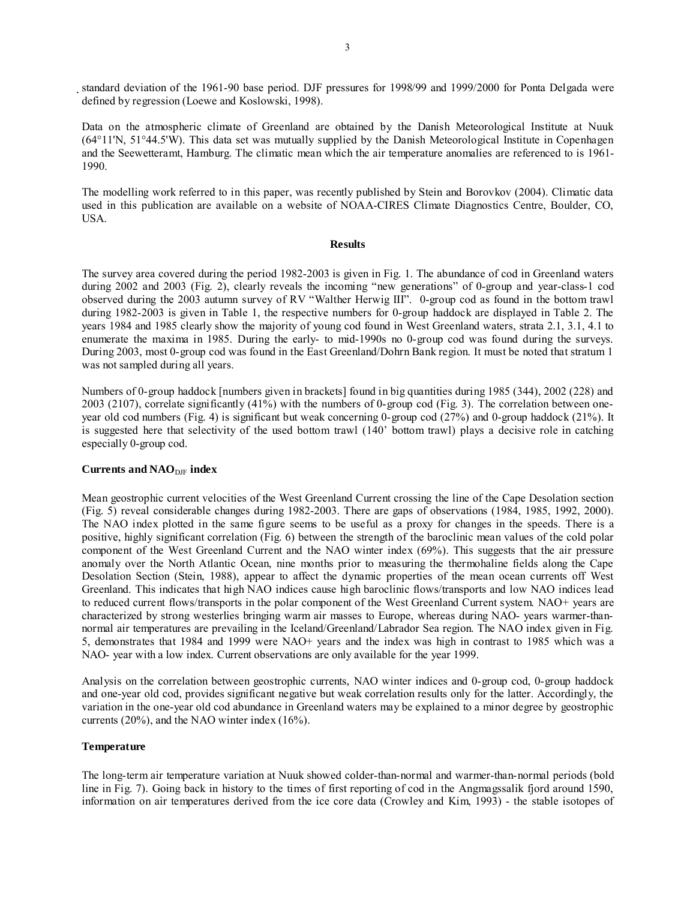standard deviation of the 1961-90 base period. DJF pressures for 1998/99 and 1999/2000 for Ponta Delgada were defined by regression (Loewe and Koslowski, 1998).

Data on the atmospheric climate of Greenland are obtained by the Danish Meteorological Institute at Nuuk (64°11'N, 51°44.5'W). This data set was mutually supplied by the Danish Meteorological Institute in Copenhagen and the Seewetteramt, Hamburg. The climatic mean which the air temperature anomalies are referenced to is 1961- 1990.

The modelling work referred to in this paper, was recently published by Stein and Borovkov (2004). Climatic data used in this publication are available on a website of NOAA-CIRES Climate Diagnostics Centre, Boulder, CO, USA.

## **Results**

The survey area covered during the period 1982-2003 is given in Fig. 1. The abundance of cod in Greenland waters during 2002 and 2003 (Fig. 2), clearly reveals the incoming "new generations" of 0-group and year-class-1 cod observed during the 2003 autumn survey of RV "Walther Herwig III". 0-group cod as found in the bottom trawl during 1982-2003 is given in Table 1, the respective numbers for 0-group haddock are displayed in Table 2. The years 1984 and 1985 clearly show the majority of young cod found in West Greenland waters, strata 2.1, 3.1, 4.1 to enumerate the maxima in 1985. During the early- to mid-1990s no 0-group cod was found during the surveys. During 2003, most 0-group cod was found in the East Greenland/Dohrn Bank region. It must be noted that stratum 1 was not sampled during all years.

Numbers of 0-group haddock [numbers given in brackets] found in big quantities during 1985 (344), 2002 (228) and 2003 (2107), correlate significantly (41%) with the numbers of 0-group cod (Fig. 3). The correlation between oneyear old cod numbers (Fig. 4) is significant but weak concerning 0-group cod (27%) and 0-group haddock (21%). It is suggested here that selectivity of the used bottom trawl (140' bottom trawl) plays a decisive role in catching especially 0-group cod.

## **Currents and NAO**DJF **index**

Mean geostrophic current velocities of the West Greenland Current crossing the line of the Cape Desolation section (Fig. 5) reveal considerable changes during 1982-2003. There are gaps of observations (1984, 1985, 1992, 2000). The NAO index plotted in the same figure seems to be useful as a proxy for changes in the speeds. There is a positive, highly significant correlation (Fig. 6) between the strength of the baroclinic mean values of the cold polar component of the West Greenland Current and the NAO winter index (69%). This suggests that the air pressure anomaly over the North Atlantic Ocean, nine months prior to measuring the thermohaline fields along the Cape Desolation Section (Stein, 1988), appear to affect the dynamic properties of the mean ocean currents off West Greenland. This indicates that high NAO indices cause high baroclinic flows/transports and low NAO indices lead to reduced current flows/transports in the polar component of the West Greenland Current system. NAO+ years are characterized by strong westerlies bringing warm air masses to Europe, whereas during NAO- years warmer-thannormal air temperatures are prevailing in the Iceland/Greenland/Labrador Sea region. The NAO index given in Fig. 5, demonstrates that 1984 and 1999 were NAO+ years and the index was high in contrast to 1985 which was a NAO- year with a low index. Current observations are only available for the year 1999.

Analysis on the correlation between geostrophic currents, NAO winter indices and 0-group cod, 0-group haddock and one-year old cod, provides significant negative but weak correlation results only for the latter. Accordingly, the variation in the one-year old cod abundance in Greenland waters may be explained to a minor degree by geostrophic currents (20%), and the NAO winter index (16%).

## **Temperature**

The long-term air temperature variation at Nuuk showed colder-than-normal and warmer-than-normal periods (bold line in Fig. 7). Going back in history to the times of first reporting of cod in the Angmagssalik fjord around 1590, information on air temperatures derived from the ice core data (Crowley and Kim, 1993) - the stable isotopes of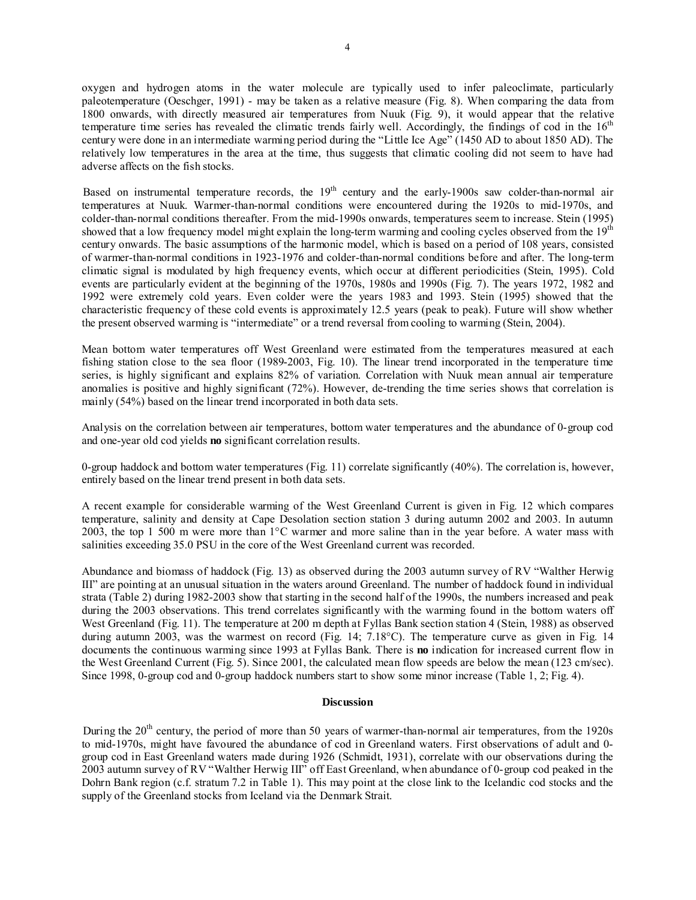oxygen and hydrogen atoms in the water molecule are typically used to infer paleoclimate, particularly paleotemperature (Oeschger, 1991) - may be taken as a relative measure (Fig. 8). When comparing the data from 1800 onwards, with directly measured air temperatures from Nuuk (Fig. 9), it would appear that the relative temperature time series has revealed the climatic trends fairly well. Accordingly, the findings of cod in the  $16<sup>th</sup>$ century were done in an intermediate warming period during the "Little Ice Age" (1450 AD to about 1850 AD). The relatively low temperatures in the area at the time, thus suggests that climatic cooling did not seem to have had adverse affects on the fish stocks.

Based on instrumental temperature records, the 19<sup>th</sup> century and the early-1900s saw colder-than-normal air temperatures at Nuuk. Warmer-than-normal conditions were encountered during the 1920s to mid-1970s, and colder-than-normal conditions thereafter. From the mid-1990s onwards, temperatures seem to increase. Stein (1995) showed that a low frequency model might explain the long-term warming and cooling cycles observed from the 19<sup>th</sup> century onwards. The basic assumptions of the harmonic model, which is based on a period of 108 years, consisted of warmer-than-normal conditions in 1923-1976 and colder-than-normal conditions before and after. The long-term climatic signal is modulated by high frequency events, which occur at different periodicities (Stein, 1995). Cold events are particularly evident at the beginning of the 1970s, 1980s and 1990s (Fig. 7). The years 1972, 1982 and 1992 were extremely cold years. Even colder were the years 1983 and 1993. Stein (1995) showed that the characteristic frequency of these cold events is approximately 12.5 years (peak to peak). Future will show whether the present observed warming is "intermediate" or a trend reversal from cooling to warming (Stein, 2004).

Mean bottom water temperatures off West Greenland were estimated from the temperatures measured at each fishing station close to the sea floor (1989-2003, Fig. 10). The linear trend incorporated in the temperature time series, is highly significant and explains 82% of variation. Correlation with Nuuk mean annual air temperature anomalies is positive and highly significant (72%). However, de-trending the time series shows that correlation is mainly (54%) based on the linear trend incorporated in both data sets.

Analysis on the correlation between air temperatures, bottom water temperatures and the abundance of 0-group cod and one-year old cod yields **no** significant correlation results.

0-group haddock and bottom water temperatures (Fig. 11) correlate significantly (40%). The correlation is, however, entirely based on the linear trend present in both data sets.

A recent example for considerable warming of the West Greenland Current is given in Fig. 12 which compares temperature, salinity and density at Cape Desolation section station 3 during autumn 2002 and 2003. In autumn 2003, the top 1 500 m were more than 1°C warmer and more saline than in the year before. A water mass with salinities exceeding 35.0 PSU in the core of the West Greenland current was recorded.

Abundance and biomass of haddock (Fig. 13) as observed during the 2003 autumn survey of RV "Walther Herwig III" are pointing at an unusual situation in the waters around Greenland. The number of haddock found in individual strata (Table 2) during 1982-2003 show that starting in the second half of the 1990s, the numbers increased and peak during the 2003 observations. This trend correlates significantly with the warming found in the bottom waters off West Greenland (Fig. 11). The temperature at 200 m depth at Fyllas Bank section station 4 (Stein, 1988) as observed during autumn 2003, was the warmest on record (Fig. 14; 7.18°C). The temperature curve as given in Fig. 14 documents the continuous warming since 1993 at Fyllas Bank. There is **no** indication for increased current flow in the West Greenland Current (Fig. 5). Since 2001, the calculated mean flow speeds are below the mean (123 cm/sec). Since 1998, 0-group cod and 0-group haddock numbers start to show some minor increase (Table 1, 2; Fig. 4).

#### **Discussion**

During the  $20<sup>th</sup>$  century, the period of more than 50 years of warmer-than-normal air temperatures, from the 1920s to mid-1970s, might have favoured the abundance of cod in Greenland waters. First observations of adult and 0 group cod in East Greenland waters made during 1926 (Schmidt, 1931), correlate with our observations during the 2003 autumn survey of RV "Walther Herwig III" off East Greenland, when abundance of 0-group cod peaked in the Dohrn Bank region (c.f. stratum 7.2 in Table 1). This may point at the close link to the Icelandic cod stocks and the supply of the Greenland stocks from Iceland via the Denmark Strait.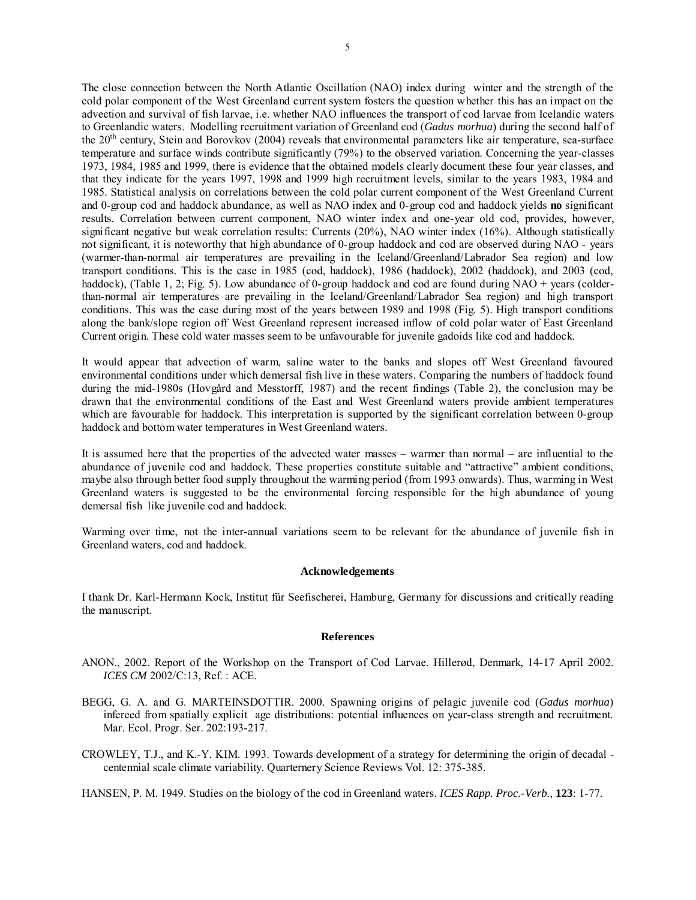The close connection between the North Atlantic Oscillation (NAO) index during winter and the strength of the cold polar component of the West Greenland current system fosters the question whether this has an impact on the advection and survival of fish larvae, i.e. whether NAO influences the transport of cod larvae from Icelandic waters to Greenlandic waters. Modelling recruitment variation of Greenland cod (*Gadus morhua*) during the second half of the 20th century, Stein and Borovkov (2004) reveals that environmental parameters like air temperature, sea-surface temperature and surface winds contribute significantly (79%) to the observed variation. Concerning the year-classes 1973, 1984, 1985 and 1999, there is evidence that the obtained models clearly document these four year classes, and that they indicate for the years 1997, 1998 and 1999 high recruitment levels, similar to the years 1983, 1984 and 1985. Statistical analysis on correlations between the cold polar current component of the West Greenland Current and 0-group cod and haddock abundance, as well as NAO index and 0-group cod and haddock yields **no** significant results. Correlation between current component, NAO winter index and one-year old cod, provides, however, significant negative but weak correlation results: Currents (20%), NAO winter index (16%). Although statistically not significant, it is noteworthy that high abundance of 0-group haddock and cod are observed during NAO - years (warmer-than-normal air temperatures are prevailing in the Iceland/Greenland/Labrador Sea region) and low transport conditions. This is the case in 1985 (cod, haddock), 1986 (haddock), 2002 (haddock), and 2003 (cod, haddock), (Table 1, 2; Fig. 5). Low abundance of 0-group haddock and cod are found during NAO + years (colderthan-normal air temperatures are prevailing in the Iceland/Greenland/Labrador Sea region) and high transport conditions. This was the case during most of the years between 1989 and 1998 (Fig. 5). High transport conditions along the bank/slope region off West Greenland represent increased inflow of cold polar water of East Greenland Current origin. These cold water masses seem to be unfavourable for juvenile gadoids like cod and haddock.

It would appear that advection of warm, saline water to the banks and slopes off West Greenland favoured environmental conditions under which demersal fish live in these waters. Comparing the numbers of haddock found during the mid-1980s (Hovgård and Messtorff, 1987) and the recent findings (Table 2), the conclusion may be drawn that the environmental conditions of the East and West Greenland waters provide ambient temperatures which are favourable for haddock. This interpretation is supported by the significant correlation between 0-group haddock and bottom water temperatures in West Greenland waters.

It is assumed here that the properties of the advected water masses – warmer than normal – are influential to the abundance of juvenile cod and haddock. These properties constitute suitable and "attractive" ambient conditions, maybe also through better food supply throughout the warming period (from 1993 onwards). Thus, warming in West Greenland waters is suggested to be the environmental forcing responsible for the high abundance of young demersal fish like juvenile cod and haddock.

Warming over time, not the inter-annual variations seem to be relevant for the abundance of juvenile fish in Greenland waters, cod and haddock.

## **Acknowledgements**

I thank Dr. Karl-Hermann Kock, Institut für Seefischerei, Hamburg, Germany for discussions and critically reading the manuscript.

## **References**

- ANON., 2002. Report of the Workshop on the Transport of Cod Larvae. Hillerød, Denmark, 14-17 April 2002. *ICES CM* 2002/C:13, Ref. : ACE.
- BEGG, G. A. and G. MARTEINSDOTTIR. 2000. Spawning origins of pelagic juvenile cod (*Gadus morhua*) infereed from spatially explicit age distributions: potential influences on year-class strength and recruitment. Mar. Ecol. Progr. Ser. 202:193-217.
- CROWLEY, T.J., and K.-Y. KIM. 1993. Towards development of a strategy for determining the origin of decadal centennial scale climate variability. Quarternery Science Reviews Vol. 12: 375-385.

HANSEN, P. M. 1949. Studies on the biology of the cod in Greenland waters. *ICES Rapp. Proc.-Verb.*, **123**: 1-77.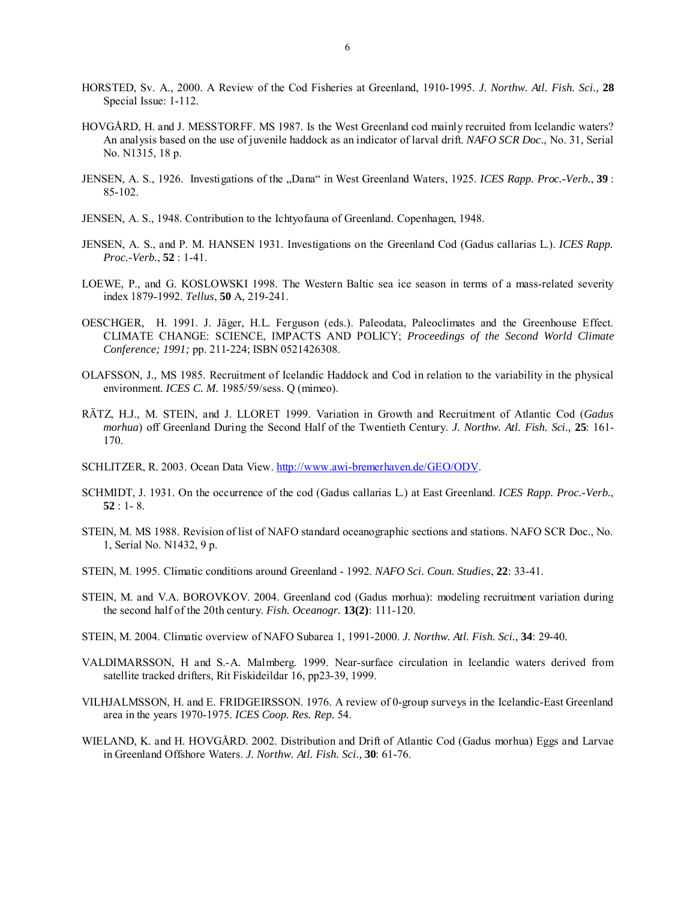- HORSTED, Sv. A., 2000. A Review of the Cod Fisheries at Greenland, 1910-1995. *J. Northw. Atl. Fish. Sci.,* **28**  Special Issue: 1-112.
- HOVGÅRD, H. and J. MESSTORFF. MS 1987. Is the West Greenland cod mainly recruited from Icelandic waters? An analysis based on the use of juvenile haddock as an indicator of larval drift. *NAFO SCR Doc*., No. 31, Serial No. N1315, 18 p.
- JENSEN, A. S., 1926. Investigations of the "Dana" in West Greenland Waters, 1925. *ICES Rapp. Proc.-Verb.*, 39: 85-102.
- JENSEN, A. S., 1948. Contribution to the Ichtyofauna of Greenland. Copenhagen, 1948.
- JENSEN, A. S., and P. M. HANSEN 1931. Investigations on the Greenland Cod (Gadus callarias L.). *ICES Rapp. Proc.-Verb.*, **52** : 1-41.
- LOEWE, P., and G. KOSLOWSKI 1998. The Western Baltic sea ice season in terms of a mass-related severity index 1879-1992. *Tellus*, **50** A, 219-241.
- OESCHGER, H. 1991. J. Jäger, H.L. Ferguson (eds.). Paleodata, Paleoclimates and the Greenhouse Effect. CLIMATE CHANGE: SCIENCE, IMPACTS AND POLICY; *Proceedings of the Second World Climate Conference; 1991;* pp. 211-224; ISBN 0521426308.
- OLAFSSON, J., MS 1985. Recruitment of Icelandic Haddock and Cod in relation to the variability in the physical environment. *ICES C. M.* 1985/59/sess. Q (mimeo).
- RÄTZ, H.J., M. STEIN, and J. LLORET 1999. Variation in Growth and Recruitment of Atlantic Cod (*Gadus morhua*) off Greenland During the Second Half of the Twentieth Century. *J. Northw. Atl. Fish. Sci.,* **25**: 161- 170.
- SCHLITZER, R. 2003. Ocean Data View. http://www.awi-bremerhaven.de/GEO/ODV.
- SCHMIDT, J. 1931. On the occurrence of the cod (Gadus callarias L.) at East Greenland. *ICES Rapp. Proc.-Verb.*, **52** : 1- 8.
- STEIN, M. MS 1988. Revision of list of NAFO standard oceanographic sections and stations. NAFO SCR Doc., No. 1, Serial No. N1432, 9 p.
- STEIN, M. 1995. Climatic conditions around Greenland 1992. *NAFO Sci. Coun. Studies*, **22**: 33-41.
- STEIN, M. and V.A. BOROVKOV. 2004. Greenland cod (Gadus morhua): modeling recruitment variation during the second half of the 20th century. *Fish. Oceanogr.* **13(2)**: 111-120.
- STEIN, M. 2004. Climatic overview of NAFO Subarea 1, 1991-2000. *J. Northw. Atl. Fish. Sci.,* **34**: 29-40*.*
- VALDIMARSSON, H and S.-A. Malmberg. 1999. Near-surface circulation in Icelandic waters derived from satellite tracked drifters, Rit Fiskideildar 16, pp23-39, 1999.
- VILHJALMSSON, H. and E. FRIDGEIRSSON. 1976. A review of 0-group surveys in the Icelandic-East Greenland area in the years 1970-1975. *ICES Coop. Res. Rep.* 54.
- WIELAND, K. and H. HOVGÅRD. 2002. Distribution and Drift of Atlantic Cod (Gadus morhua) Eggs and Larvae in Greenland Offshore Waters. *J. Northw. Atl. Fish. Sci.,* **30**: 61-76.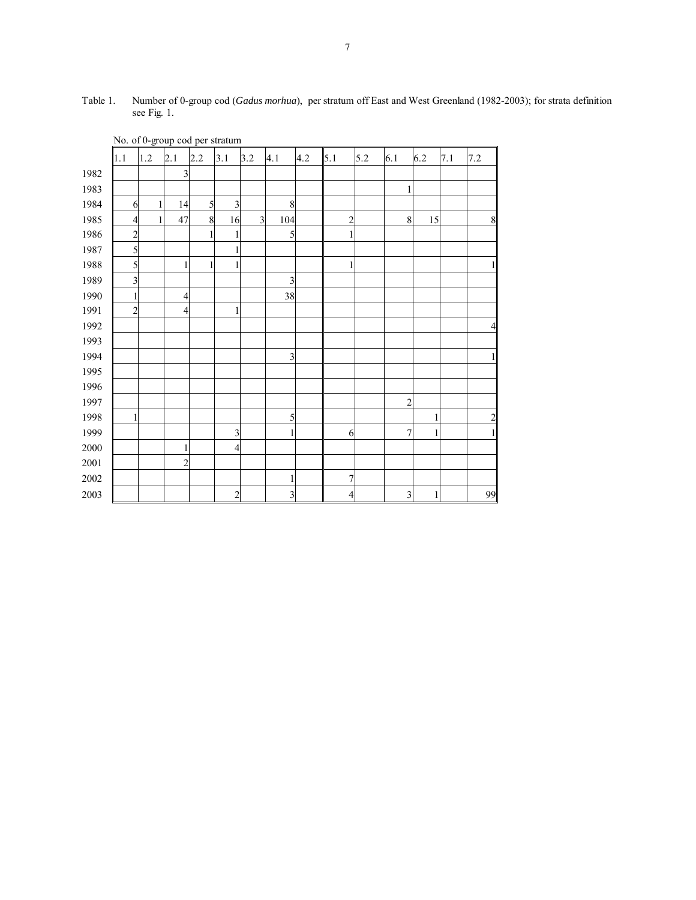| 2.1<br>5.1<br>6.1<br>6.2<br>1.2<br>2.2<br>3.1<br>3.2<br>4.1<br>4.2<br>5.2<br>7.1<br>7.2<br>1.1<br>1982<br>$\overline{\mathbf{3}}$<br>1983<br>1984<br>14<br>3<br>$\,$ 8 $\,$<br>5<br>1<br>6<br>1985<br>$\overline{c}$<br>$\,8\,$<br>47<br>8<br>$\overline{\mathbf{3}}$<br>104<br>15<br>16<br>$\overline{4}$<br>1<br>1986<br>5<br>$\overline{c}$<br>1<br>1<br>1987<br>5<br>1988<br>5<br>1<br>1<br>1989<br>$\overline{\mathbf{3}}$<br>$\overline{\mathbf{3}}$<br>1990<br>38<br>$\overline{\mathcal{A}}$<br>1991<br>$\overline{2}$<br>$\overline{\mathbf{4}}$<br>1992<br>1993<br>1994<br>$\overline{\mathbf{3}}$<br>1995<br>1996<br>1997<br>$\overline{c}$<br>1998<br>5<br>1<br>1999<br>$\overline{\mathbf{3}}$<br>$\overline{7}$<br>1<br>6<br>1<br>2000<br>$\overline{4}$<br>1<br>2001<br>$\overline{c}$<br>$2002\,$<br>$\overline{7}$<br>1<br>$\overline{\mathbf{3}}$<br>$\overline{\mathbf{3}}$<br>2003<br>$\overline{c}$<br>$\overline{4}$<br>1 | Two. or o-group cou per stratum |  |  |  |  |  |  |  |  |  |  |  |                |
|-------------------------------------------------------------------------------------------------------------------------------------------------------------------------------------------------------------------------------------------------------------------------------------------------------------------------------------------------------------------------------------------------------------------------------------------------------------------------------------------------------------------------------------------------------------------------------------------------------------------------------------------------------------------------------------------------------------------------------------------------------------------------------------------------------------------------------------------------------------------------------------------------------------------------------------------------|---------------------------------|--|--|--|--|--|--|--|--|--|--|--|----------------|
|                                                                                                                                                                                                                                                                                                                                                                                                                                                                                                                                                                                                                                                                                                                                                                                                                                                                                                                                                 |                                 |  |  |  |  |  |  |  |  |  |  |  |                |
|                                                                                                                                                                                                                                                                                                                                                                                                                                                                                                                                                                                                                                                                                                                                                                                                                                                                                                                                                 |                                 |  |  |  |  |  |  |  |  |  |  |  |                |
|                                                                                                                                                                                                                                                                                                                                                                                                                                                                                                                                                                                                                                                                                                                                                                                                                                                                                                                                                 |                                 |  |  |  |  |  |  |  |  |  |  |  |                |
|                                                                                                                                                                                                                                                                                                                                                                                                                                                                                                                                                                                                                                                                                                                                                                                                                                                                                                                                                 |                                 |  |  |  |  |  |  |  |  |  |  |  |                |
|                                                                                                                                                                                                                                                                                                                                                                                                                                                                                                                                                                                                                                                                                                                                                                                                                                                                                                                                                 |                                 |  |  |  |  |  |  |  |  |  |  |  | 8              |
|                                                                                                                                                                                                                                                                                                                                                                                                                                                                                                                                                                                                                                                                                                                                                                                                                                                                                                                                                 |                                 |  |  |  |  |  |  |  |  |  |  |  |                |
|                                                                                                                                                                                                                                                                                                                                                                                                                                                                                                                                                                                                                                                                                                                                                                                                                                                                                                                                                 |                                 |  |  |  |  |  |  |  |  |  |  |  |                |
|                                                                                                                                                                                                                                                                                                                                                                                                                                                                                                                                                                                                                                                                                                                                                                                                                                                                                                                                                 |                                 |  |  |  |  |  |  |  |  |  |  |  | $\mathbf{1}$   |
|                                                                                                                                                                                                                                                                                                                                                                                                                                                                                                                                                                                                                                                                                                                                                                                                                                                                                                                                                 |                                 |  |  |  |  |  |  |  |  |  |  |  |                |
|                                                                                                                                                                                                                                                                                                                                                                                                                                                                                                                                                                                                                                                                                                                                                                                                                                                                                                                                                 |                                 |  |  |  |  |  |  |  |  |  |  |  |                |
|                                                                                                                                                                                                                                                                                                                                                                                                                                                                                                                                                                                                                                                                                                                                                                                                                                                                                                                                                 |                                 |  |  |  |  |  |  |  |  |  |  |  |                |
|                                                                                                                                                                                                                                                                                                                                                                                                                                                                                                                                                                                                                                                                                                                                                                                                                                                                                                                                                 |                                 |  |  |  |  |  |  |  |  |  |  |  | $\overline{4}$ |
|                                                                                                                                                                                                                                                                                                                                                                                                                                                                                                                                                                                                                                                                                                                                                                                                                                                                                                                                                 |                                 |  |  |  |  |  |  |  |  |  |  |  |                |
|                                                                                                                                                                                                                                                                                                                                                                                                                                                                                                                                                                                                                                                                                                                                                                                                                                                                                                                                                 |                                 |  |  |  |  |  |  |  |  |  |  |  | $\mathbf{1}$   |
|                                                                                                                                                                                                                                                                                                                                                                                                                                                                                                                                                                                                                                                                                                                                                                                                                                                                                                                                                 |                                 |  |  |  |  |  |  |  |  |  |  |  |                |
|                                                                                                                                                                                                                                                                                                                                                                                                                                                                                                                                                                                                                                                                                                                                                                                                                                                                                                                                                 |                                 |  |  |  |  |  |  |  |  |  |  |  |                |
|                                                                                                                                                                                                                                                                                                                                                                                                                                                                                                                                                                                                                                                                                                                                                                                                                                                                                                                                                 |                                 |  |  |  |  |  |  |  |  |  |  |  | $\overline{c}$ |
|                                                                                                                                                                                                                                                                                                                                                                                                                                                                                                                                                                                                                                                                                                                                                                                                                                                                                                                                                 |                                 |  |  |  |  |  |  |  |  |  |  |  | $\mathbf{1}$   |
|                                                                                                                                                                                                                                                                                                                                                                                                                                                                                                                                                                                                                                                                                                                                                                                                                                                                                                                                                 |                                 |  |  |  |  |  |  |  |  |  |  |  |                |
|                                                                                                                                                                                                                                                                                                                                                                                                                                                                                                                                                                                                                                                                                                                                                                                                                                                                                                                                                 |                                 |  |  |  |  |  |  |  |  |  |  |  |                |
|                                                                                                                                                                                                                                                                                                                                                                                                                                                                                                                                                                                                                                                                                                                                                                                                                                                                                                                                                 |                                 |  |  |  |  |  |  |  |  |  |  |  |                |
|                                                                                                                                                                                                                                                                                                                                                                                                                                                                                                                                                                                                                                                                                                                                                                                                                                                                                                                                                 |                                 |  |  |  |  |  |  |  |  |  |  |  | 99             |

Table 1. Number of 0-group cod (*Gadus morhua*), per stratum off East and West Greenland (1982-2003); for strata definition see Fig. 1.

No. of 0-group cod per stratum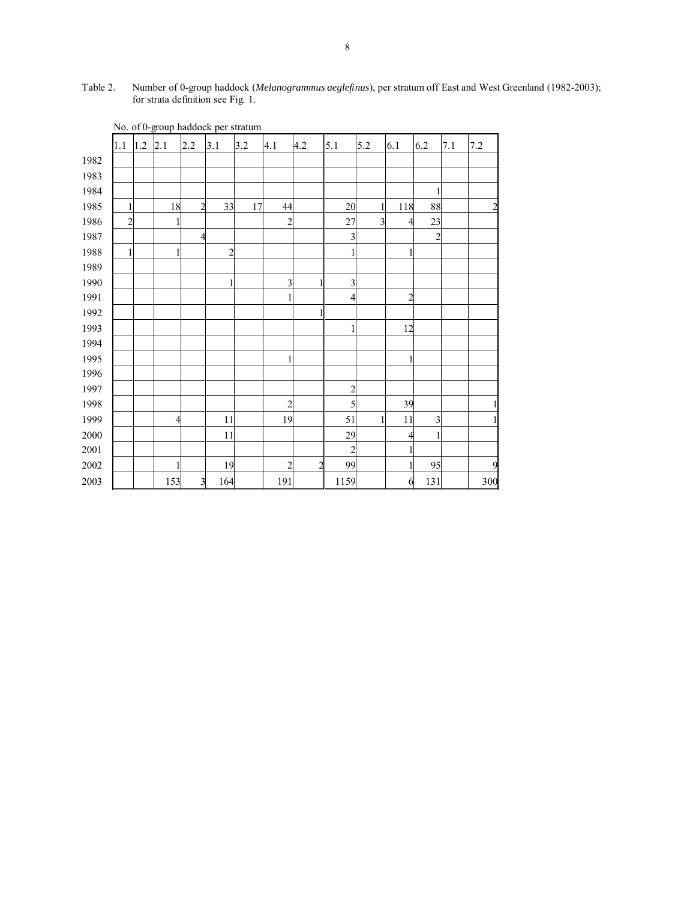| Table 2. | Number of 0-group haddock (Melanogrammus aeglefinus), per stratum off East and West Greenland (1982-2003); |
|----------|------------------------------------------------------------------------------------------------------------|
|          | for strata definition see Fig. 1.                                                                          |

|          | 1.1            | 1.2 | 2.1            | 2.2                     | 3.1            | 3.2 | 4.1            | 4.2            | 5.1            | 5.2 | 6.1            | 6.2            | 7.1 | $7.2\,$                 |
|----------|----------------|-----|----------------|-------------------------|----------------|-----|----------------|----------------|----------------|-----|----------------|----------------|-----|-------------------------|
| 1982     |                |     |                |                         |                |     |                |                |                |     |                |                |     |                         |
| 1983     |                |     |                |                         |                |     |                |                |                |     |                |                |     |                         |
| 1984     |                |     |                |                         |                |     |                |                |                |     |                |                |     |                         |
| 1985     | 1              |     | 18             | $\overline{c}$          | 33             | 17  | 44             |                | 20             |     | 118            | 88             |     | $\overline{\mathbf{c}}$ |
| 1986     | $\overline{c}$ |     | 1              |                         |                |     | $\overline{c}$ |                | 27             | 3   |                | 23             |     |                         |
| 1987     |                |     |                | 4                       |                |     |                |                | 3              |     |                | $\overline{2}$ |     |                         |
| 1988     | 1              |     | 1              |                         | $\overline{c}$ |     |                |                |                |     |                |                |     |                         |
| 1989     |                |     |                |                         |                |     |                |                |                |     |                |                |     |                         |
| 1990     |                |     |                |                         |                |     | 3              |                | 3              |     |                |                |     |                         |
| 1991     |                |     |                |                         |                |     |                |                | 4              |     | $\overline{2}$ |                |     |                         |
| 1992     |                |     |                |                         |                |     |                |                |                |     |                |                |     |                         |
| 1993     |                |     |                |                         |                |     |                |                |                |     | 12             |                |     |                         |
| 1994     |                |     |                |                         |                |     |                |                |                |     |                |                |     |                         |
| 1995     |                |     |                |                         |                |     |                |                |                |     | 1              |                |     |                         |
| 1996     |                |     |                |                         |                |     |                |                |                |     |                |                |     |                         |
| 1997     |                |     |                |                         |                |     |                |                | $\overline{c}$ |     |                |                |     |                         |
| 1998     |                |     |                |                         |                |     | $\overline{2}$ |                | 5              |     | 39             |                |     |                         |
| 1999     |                |     | $\overline{4}$ |                         | 11             |     | 19             |                | 51             |     | 11             | 3              |     | 1                       |
| 2000     |                |     |                |                         | 11             |     |                |                | 29             |     | 4              |                |     |                         |
| 2001     |                |     |                |                         |                |     |                |                | $\overline{c}$ |     |                |                |     |                         |
| $2002\,$ |                |     | 1              |                         | 19             |     | $\overline{2}$ | $\overline{c}$ | 99             |     |                | 95             |     | 9                       |
| 2003     |                |     | 153            | $\overline{\mathbf{3}}$ | 164            |     | 191            |                | 1159           |     | 6              | 131            |     | 300                     |

No. of 0-group haddock per stratum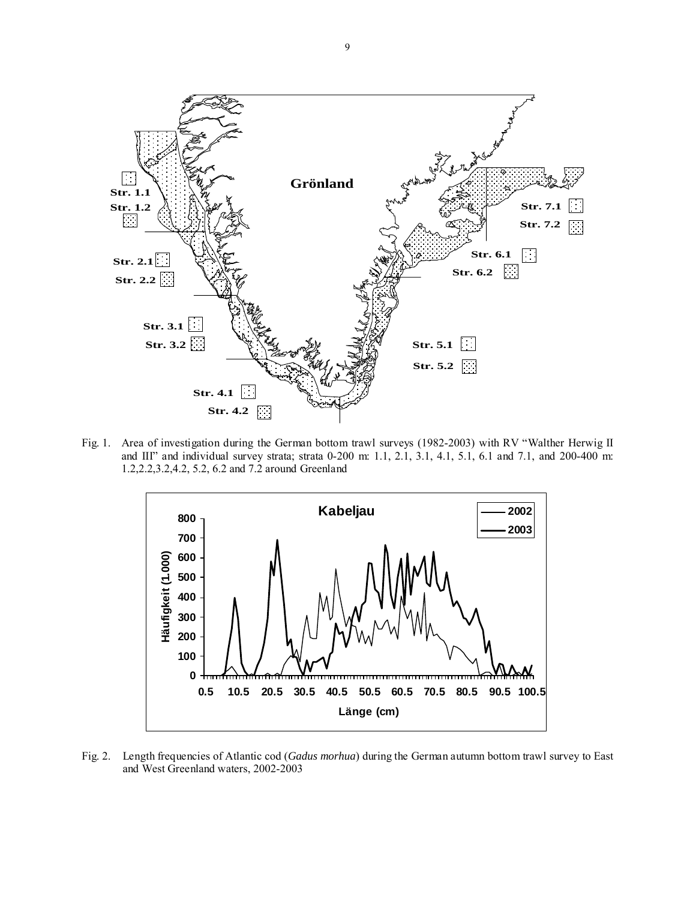

Fig. 1. Area of investigation during the German bottom trawl surveys (1982-2003) with RV "Walther Herwig II and III" and individual survey strata; strata 0-200 m: 1.1, 2.1, 3.1, 4.1, 5.1, 6.1 and 7.1, and 200-400 m: 1.2,2.2,3.2,4.2, 5.2, 6.2 and 7.2 around Greenland



Fig. 2. Length frequencies of Atlantic cod (*Gadus morhua*) during the German autumn bottom trawl survey to East and West Greenland waters, 2002-2003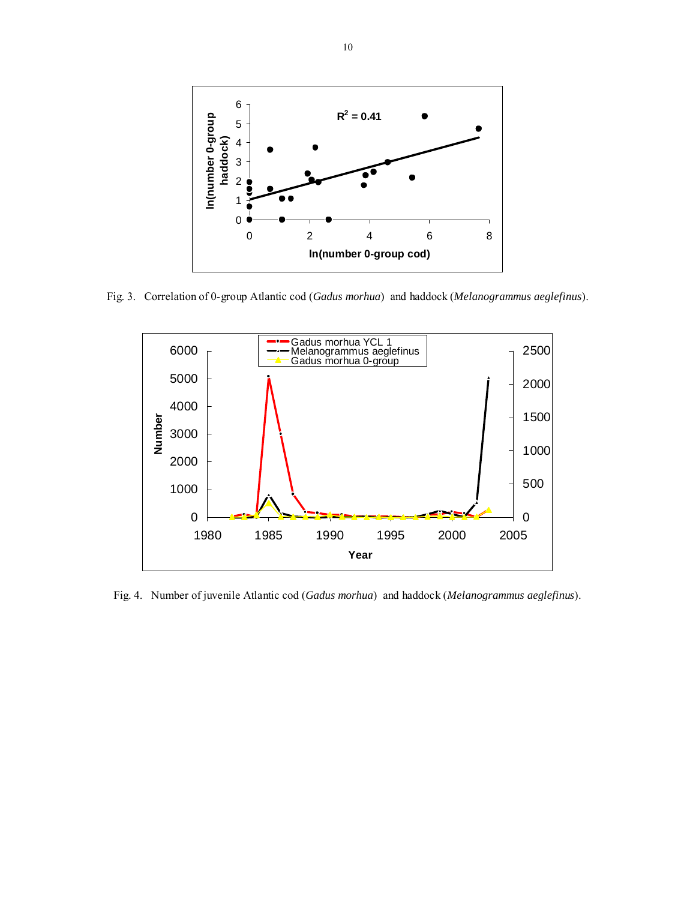

Fig. 3. Correlation of 0-group Atlantic cod (*Gadus morhua*) and haddock (*Melanogrammus aeglefinus*).



Fig. 4. Number of juvenile Atlantic cod (*Gadus morhua*) and haddock (*Melanogrammus aeglefinus*).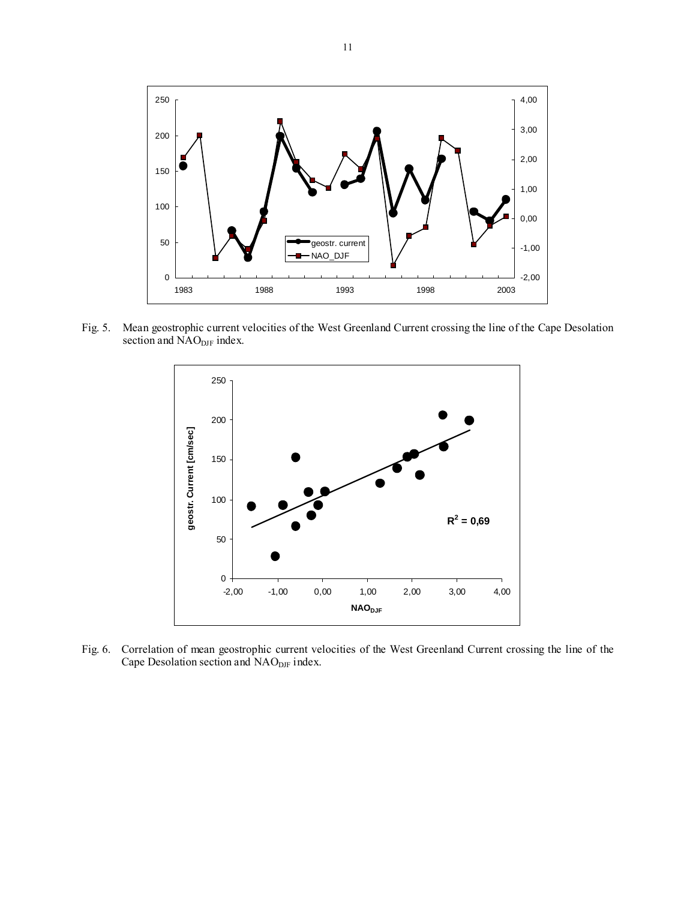

Fig. 5. Mean geostrophic current velocities of the West Greenland Current crossing the line of the Cape Desolation section and NAO<sub>DJF</sub> index.



Fig. 6. Correlation of mean geostrophic current velocities of the West Greenland Current crossing the line of the Cape Desolation section and NAO<sub>DJF</sub> index.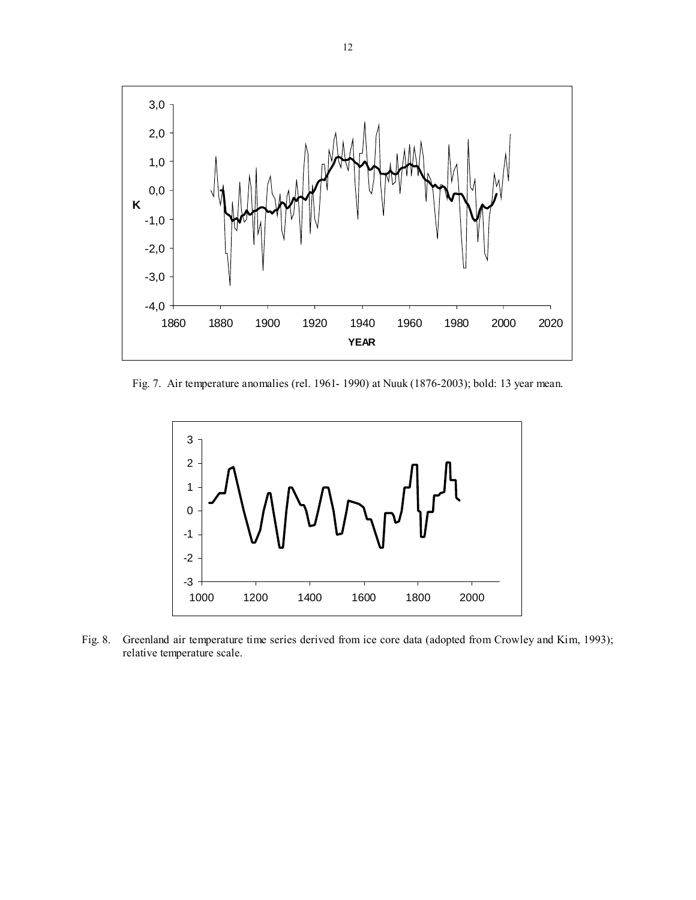

Fig. 7. Air temperature anomalies (rel. 1961- 1990) at Nuuk (1876-2003); bold: 13 year mean.



Fig. 8. Greenland air temperature time series derived from ice core data (adopted from Crowley and Kim, 1993); relative temperature scale.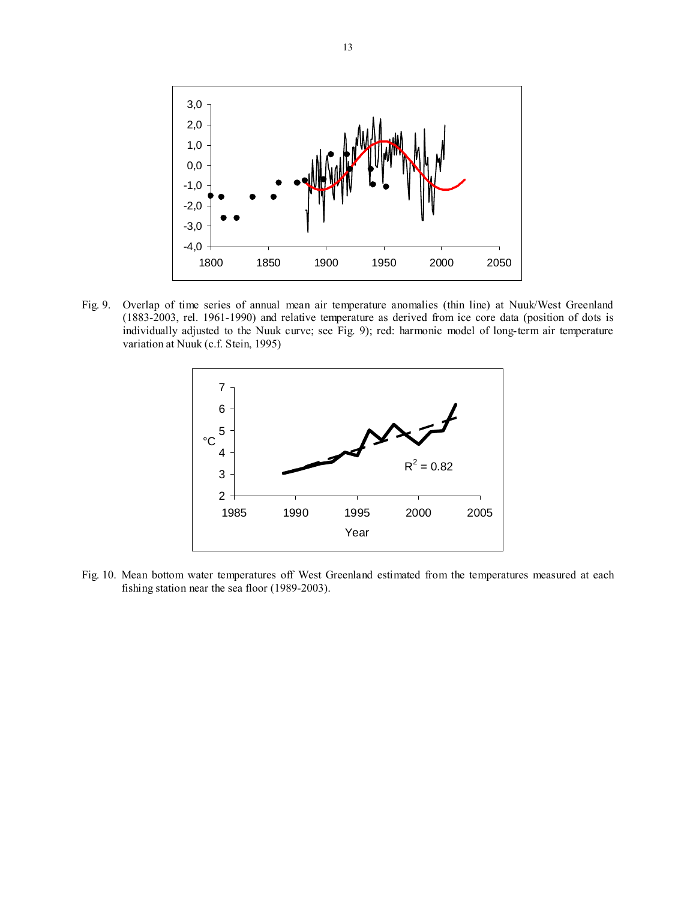

Fig. 9. Overlap of time series of annual mean air temperature anomalies (thin line) at Nuuk/West Greenland (1883-2003, rel. 1961-1990) and relative temperature as derived from ice core data (position of dots is individually adjusted to the Nuuk curve; see Fig. 9); red: harmonic model of long-term air temperature variation at Nuuk (c.f. Stein, 1995)



Fig. 10. Mean bottom water temperatures off West Greenland estimated from the temperatures measured at each fishing station near the sea floor (1989-2003).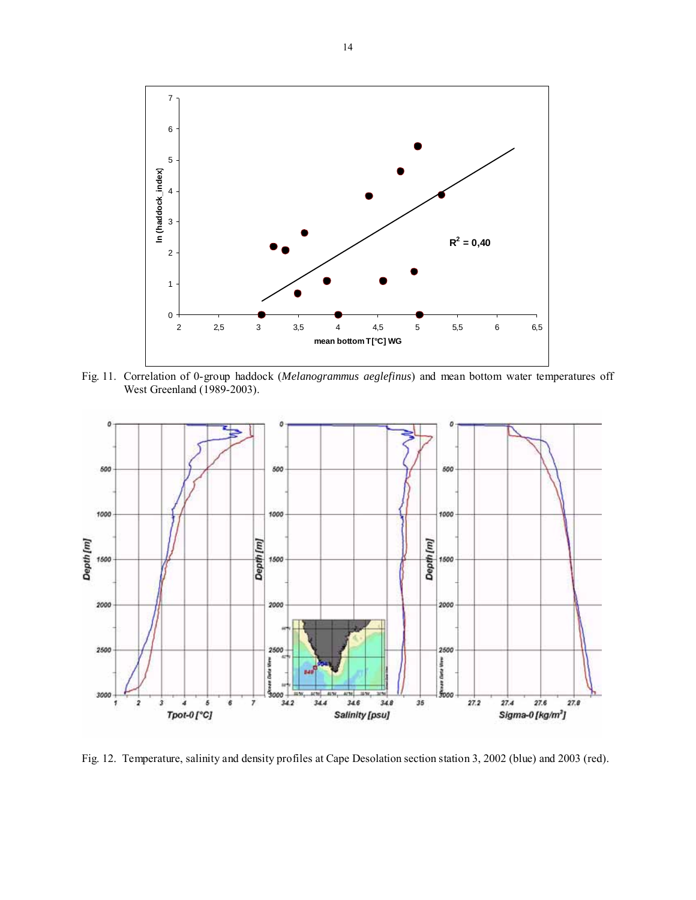

Fig. 11. Correlation of 0-group haddock (*Melanogrammus aeglefinus*) and mean bottom water temperatures off West Greenland (1989-2003).



Fig. 12. Temperature, salinity and density profiles at Cape Desolation section station 3, 2002 (blue) and 2003 (red).